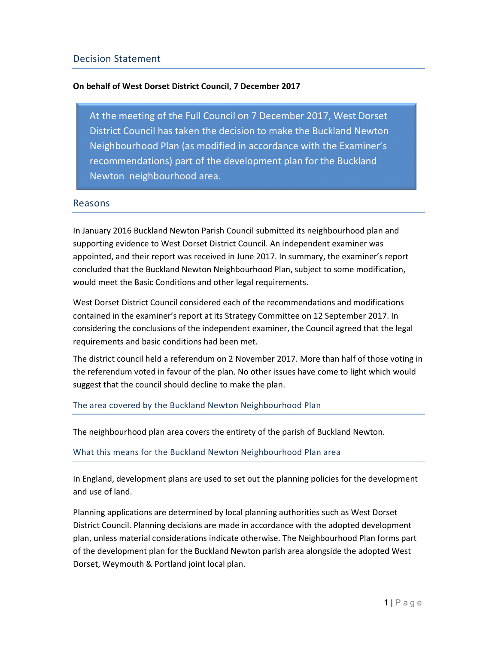## On behalf of West Dorset District Council, 7 December 2017

At the meeting of the Full Council on 7 December 2017, West Dorset District Council has taken the decision to make the Buckland Newton Neighbourhood Plan (as modified in accordance with the Examiner's recommendations) part of the development plan for the Buckland Newton neighbourhood area.

## Reasons

In January 2016 Buckland Newton Parish Council submitted its neighbourhood plan and supporting evidence to West Dorset District Council. An independent examiner was appointed, and their report was received in June 2017. In summary, the examiner's report concluded that the Buckland Newton Neighbourhood Plan, subject to some modification, would meet the Basic Conditions and other legal requirements.

West Dorset District Council considered each of the recommendations and modifications contained in the examiner's report at its Strategy Committee on 12 September 2017. In considering the conclusions of the independent examiner, the Council agreed that the legal requirements and basic conditions had been met.

The district council held a referendum on 2 November 2017. More than half of those voting in the referendum voted in favour of the plan. No other issues have come to light which would suggest that the council should decline to make the plan.

The area covered by the Buckland Newton Neighbourhood Plan

The neighbourhood plan area covers the entirety of the parish of Buckland Newton.

What this means for the Buckland Newton Neighbourhood Plan area

In England, development plans are used to set out the planning policies for the development and use of land.

Planning applications are determined by local planning authorities such as West Dorset District Council. Planning decisions are made in accordance with the adopted development plan, unless material considerations indicate otherwise. The Neighbourhood Plan forms part of the development plan for the Buckland Newton parish area alongside the adopted West Dorset, Weymouth & Portland joint local plan.